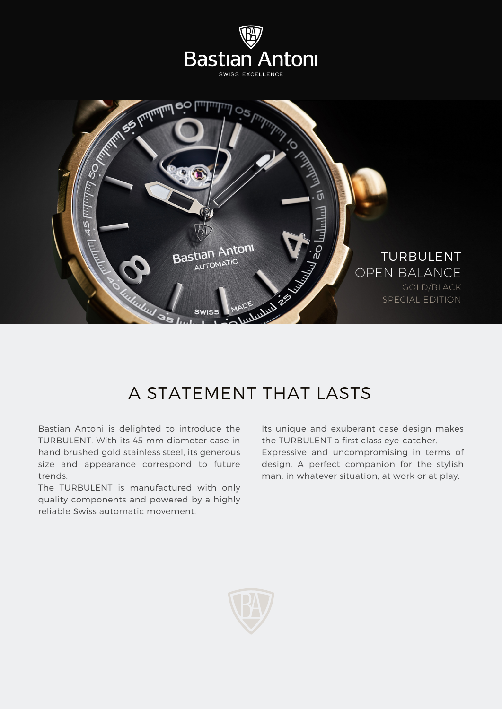

## A STATEMENT THAT LASTS

Bastian Antoni is delighted to introduce the TURBULENT. With its 45 mm diameter case in hand brushed gold stainless steel, its generous size and appearance correspond to future trends.

The TURBULENT is manufactured with only quality components and powered by a highly reliable Swiss automatic movement.

Its unique and exuberant case design makes the TURBULENT a first class eye-catcher. Expressive and uncompromising in terms of design. A perfect companion for the stylish man, in whatever situation, at work or at play.

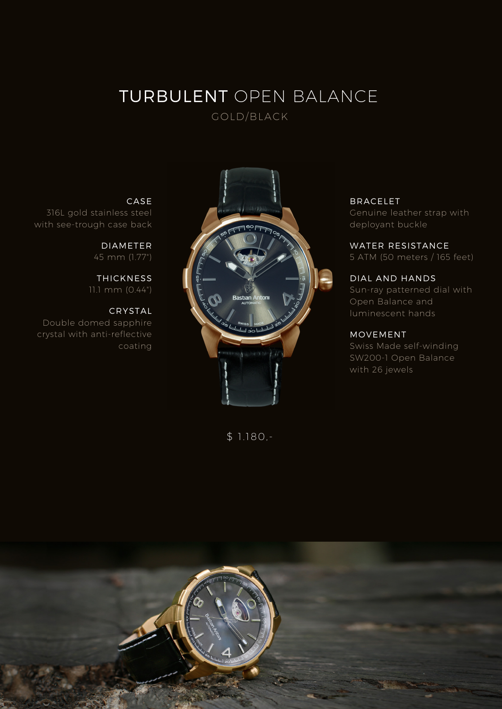## **TURBULENT OPEN BALANCE** GOLD/BLACK

**CASE**

**DIAMETER** 45 mm (1.77")

**THICKNESS** 11.1 mm (0.44")

**CRYSTAL**

coating

316L gold stainless steel with see-trough case back

Double domed sapphire crystal with anti-reflective



\$ 1.180,-

**BRACELET** Genuine leather strap with deployant buckle

**WATER RESISTANCE** 5 ATM (50 meters / 165 feet)

**DIAL AND HANDS** Sun-ray patterned dial with Open Balance and luminescent hands

### **MOVEMENT**

Swiss Made self-winding SW200-1 Open Balance with 26 jewels

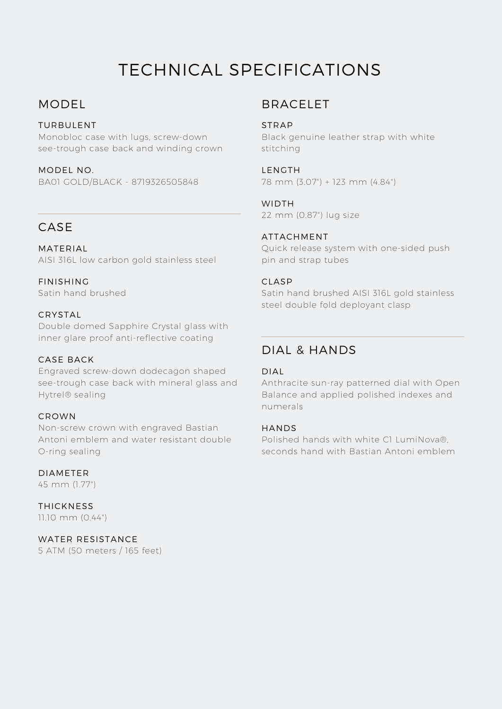# TECHNICAL SPECIFICATIONS

### **MODEL**

### **TURBULENT**

Monobloc case with lugs, screw-down see-trough case back and winding crown

**MODEL NO.** BA01 GOLD/BLACK - 8719326505848

### **CASE**

**MATERIAL** AISI 316L low carbon gold stainless steel

**FINISHING** Satin hand brushed

### **CRYSTAL**

Double domed Sapphire Crystal glass with inner glare proof anti-reflective coating

### **CASE BACK**

Engraved screw-down dodecagon shaped see-trough case back with mineral glass and Hytrel® sealing

### **CROWN**

Non-screw crown with engraved Bastian Antoni emblem and water resistant double O-ring sealing

### **DIAMETER**

45 mm (1.77")

**THICKNESS** 11.10 mm (0.44")

**WATER RESISTANCE** 5 ATM (50 meters / 165 feet)

### **BRACELET**

### **STRAP**

Black genuine leather strap with white stitching

#### **LENGTH**

78 mm (3.07") + 123 mm (4.84")

### **WIDTH**

22 mm (0.87") lug size

### **ATTACHMENT**

Quick release system with one-sided push pin and strap tubes

### **CLASP**

Satin hand brushed AISI 316L gold stainless steel double fold deployant clasp

### **DIAL & HANDS**

#### **DIAL**

Anthracite sun-ray patterned dial with Open Balance and applied polished indexes and numerals

#### **HANDS**

Polished hands with white C1 LumiNova®, seconds hand with Bastian Antoni emblem